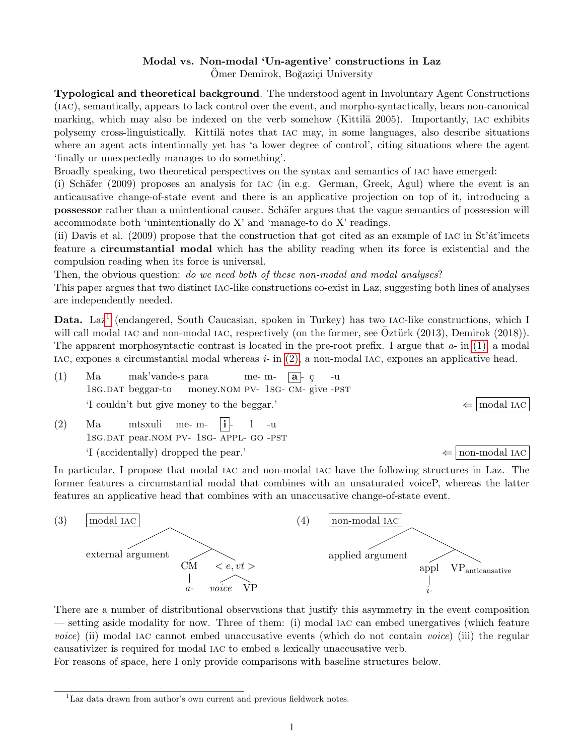## Modal vs. Non-modal 'Un-agentive' constructions in Laz Ömer Demirok, Boğaziçi University

Typological and theoretical background. The understood agent in Involuntary Agent Constructions (iac), semantically, appears to lack control over the event, and morpho-syntactically, bears non-canonical marking, which may also be indexed on the verb somehow (Kittilä 2005). Importantly, IAC exhibits polysemy cross-linguistically. Kittil¨a notes that iac may, in some languages, also describe situations where an agent acts intentionally yet has 'a lower degree of control', citing situations where the agent 'finally or unexpectedly manages to do something'.

Broadly speaking, two theoretical perspectives on the syntax and semantics of iac have emerged:

(i) Schäfer (2009) proposes an analysis for IAC (in e.g. German, Greek, Agul) where the event is an anticausative change-of-state event and there is an applicative projection on top of it, introducing a possessor rather than a unintentional causer. Schäfer argues that the vague semantics of possession will accommodate both 'unintentionally do X' and 'manage-to do X' readings.

(ii) Davis et al. (2009) propose that the construction that got cited as an example of  $IAC$  in St' $\alpha$ t'imcets feature a circumstantial modal which has the ability reading when its force is existential and the compulsion reading when its force is universal.

Then, the obvious question: *do we need both of these non-modal and modal analyses?* 

This paper argues that two distinct iac-like constructions co-exist in Laz, suggesting both lines of analyses are independently needed.

Data. Laz<sup>[1](#page-0-0)</sup> (endangered, South Caucasian, spoken in Turkey) has two IAC-like constructions, which I will call modal IAC and non-modal IAC, respectively (on the former, see  $\ddot{O}z\ddot{u}$ rk (2013), Demirok (2018)). The apparent morphosyntactic contrast is located in the pre-root prefix. I argue that  $a$ - in [\(1\),](#page-0-1) a modal IAC, expones a circumstantial modal whereas  $i$ - in  $(2)$ , a non-modal IAC, expones an applicative head.

- <span id="page-0-1"></span>(1) Ma 1sg.DAT beggar-to mak'vande-s para money.NOM PV- 1sG- CM- give -PST me- m-  $\boxed{\mathbf{a}}$ -  $\boxed{\mathbf{c}}$ -u 'I couldn't but give money to the beggar.'  $\leftarrow$  | modal IAC
- <span id="page-0-2"></span>(2) Ma 1sg.DAT pear.NOM PV- 1sg- APPL- GO -PST  $m$ tsxuli me- m-  $|i|$ l -u 'I (accidentally) dropped the pear.'  $\leftarrow$  non-modal IAC

In particular, I propose that modal iac and non-modal iac have the following structures in Laz. The former features a circumstantial modal that combines with an unsaturated voiceP, whereas the latter features an applicative head that combines with an unaccusative change-of-state event.



There are a number of distributional observations that justify this asymmetry in the event composition — setting aside modality for now. Three of them: (i) modal iac can embed unergatives (which feature voice) (ii) modal iac cannot embed unaccusative events (which do not contain voice) (iii) the regular causativizer is required for modal iac to embed a lexically unaccusative verb.

For reasons of space, here I only provide comparisons with baseline structures below.

<span id="page-0-0"></span><sup>&</sup>lt;sup>1</sup>Laz data drawn from author's own current and previous fieldwork notes.